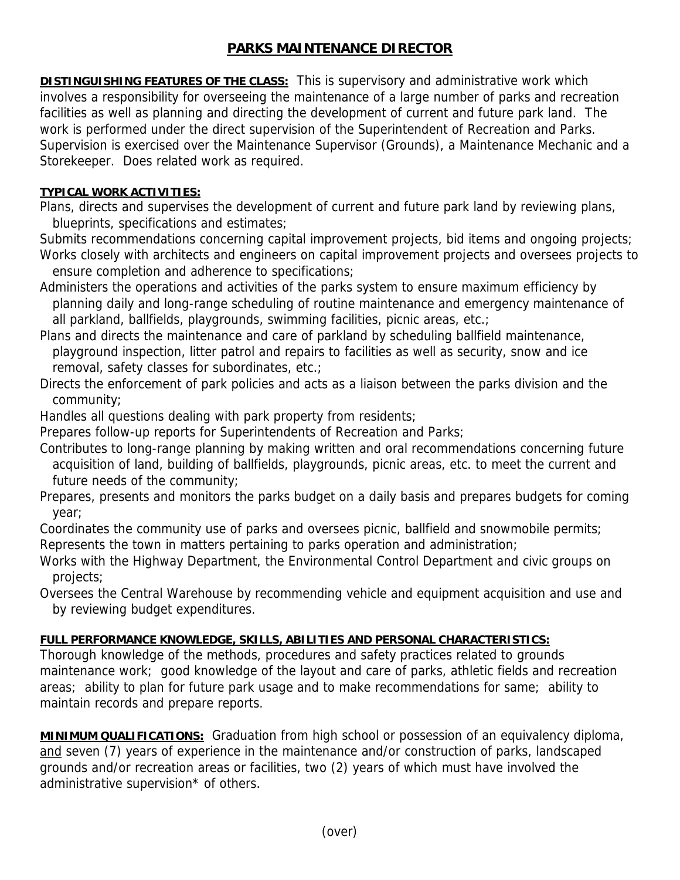## **PARKS MAINTENANCE DIRECTOR**

**DISTINGUISHING FEATURES OF THE CLASS:** This is supervisory and administrative work which involves a responsibility for overseeing the maintenance of a large number of parks and recreation facilities as well as planning and directing the development of current and future park land. The work is performed under the direct supervision of the Superintendent of Recreation and Parks. Supervision is exercised over the Maintenance Supervisor (Grounds), a Maintenance Mechanic and a Storekeeper. Does related work as required.

## **TYPICAL WORK ACTIVITIES:**

Plans, directs and supervises the development of current and future park land by reviewing plans, blueprints, specifications and estimates;

Submits recommendations concerning capital improvement projects, bid items and ongoing projects; Works closely with architects and engineers on capital improvement projects and oversees projects to ensure completion and adherence to specifications;

Administers the operations and activities of the parks system to ensure maximum efficiency by planning daily and long-range scheduling of routine maintenance and emergency maintenance of all parkland, ballfields, playgrounds, swimming facilities, picnic areas, etc.;

Plans and directs the maintenance and care of parkland by scheduling ballfield maintenance, playground inspection, litter patrol and repairs to facilities as well as security, snow and ice removal, safety classes for subordinates, etc.;

Directs the enforcement of park policies and acts as a liaison between the parks division and the community;

Handles all questions dealing with park property from residents;

Prepares follow-up reports for Superintendents of Recreation and Parks;

Contributes to long-range planning by making written and oral recommendations concerning future acquisition of land, building of ballfields, playgrounds, picnic areas, etc. to meet the current and future needs of the community;

Prepares, presents and monitors the parks budget on a daily basis and prepares budgets for coming year;

Coordinates the community use of parks and oversees picnic, ballfield and snowmobile permits; Represents the town in matters pertaining to parks operation and administration;

Works with the Highway Department, the Environmental Control Department and civic groups on projects;

Oversees the Central Warehouse by recommending vehicle and equipment acquisition and use and by reviewing budget expenditures.

## **FULL PERFORMANCE KNOWLEDGE, SKILLS, ABILITIES AND PERSONAL CHARACTERISTICS:**

Thorough knowledge of the methods, procedures and safety practices related to grounds maintenance work; good knowledge of the layout and care of parks, athletic fields and recreation areas; ability to plan for future park usage and to make recommendations for same; ability to maintain records and prepare reports.

**MINIMUM QUALIFICATIONS:** Graduation from high school or possession of an equivalency diploma, and seven (7) years of experience in the maintenance and/or construction of parks, landscaped grounds and/or recreation areas or facilities, two (2) years of which must have involved the administrative supervision\* of others.